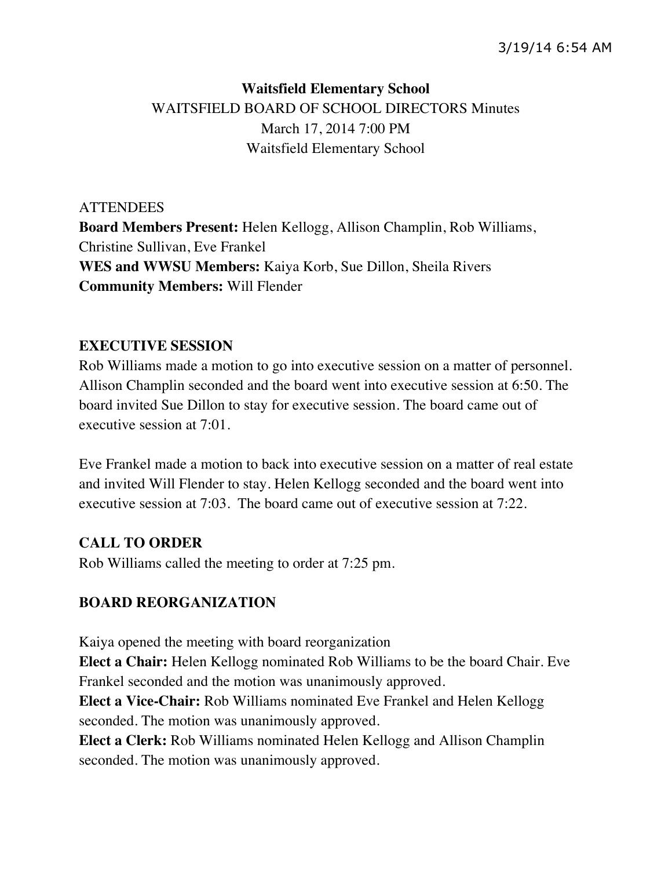# **Waitsfield Elementary School** WAITSFIELD BOARD OF SCHOOL DIRECTORS Minutes March 17, 2014 7:00 PM Waitsfield Elementary School

**ATTENDEES Board Members Present:** Helen Kellogg, Allison Champlin, Rob Williams, Christine Sullivan, Eve Frankel **WES and WWSU Members:** Kaiya Korb, Sue Dillon, Sheila Rivers **Community Members:** Will Flender

#### **EXECUTIVE SESSION**

Rob Williams made a motion to go into executive session on a matter of personnel. Allison Champlin seconded and the board went into executive session at 6:50. The board invited Sue Dillon to stay for executive session. The board came out of executive session at 7:01.

Eve Frankel made a motion to back into executive session on a matter of real estate and invited Will Flender to stay. Helen Kellogg seconded and the board went into executive session at 7:03. The board came out of executive session at 7:22.

## **CALL TO ORDER**

Rob Williams called the meeting to order at 7:25 pm.

## **BOARD REORGANIZATION**

Kaiya opened the meeting with board reorganization **Elect a Chair:** Helen Kellogg nominated Rob Williams to be the board Chair. Eve Frankel seconded and the motion was unanimously approved.

**Elect a Vice-Chair:** Rob Williams nominated Eve Frankel and Helen Kellogg seconded. The motion was unanimously approved.

**Elect a Clerk:** Rob Williams nominated Helen Kellogg and Allison Champlin seconded. The motion was unanimously approved.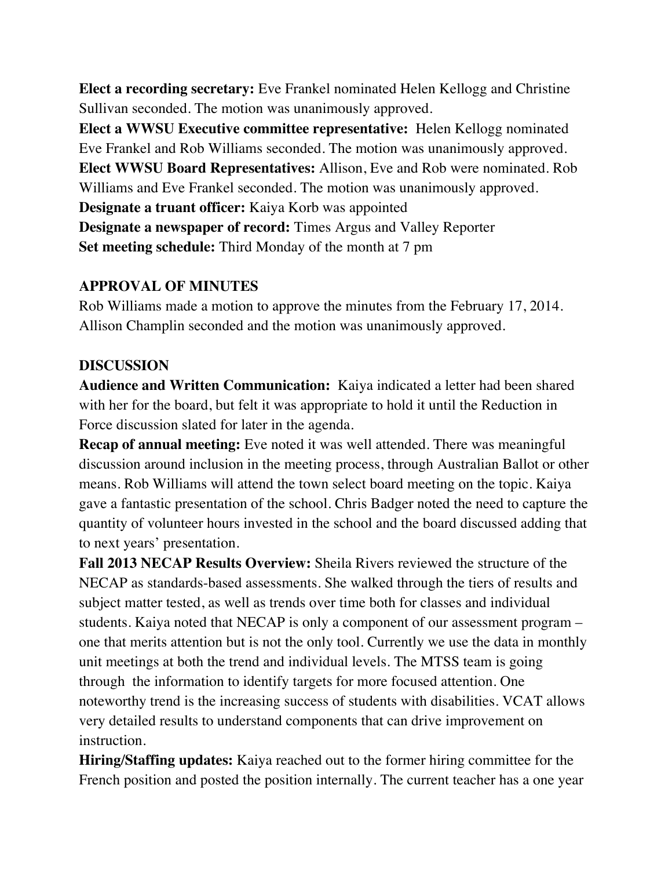**Elect a recording secretary:** Eve Frankel nominated Helen Kellogg and Christine Sullivan seconded. The motion was unanimously approved.

**Elect a WWSU Executive committee representative:** Helen Kellogg nominated Eve Frankel and Rob Williams seconded. The motion was unanimously approved. **Elect WWSU Board Representatives:** Allison, Eve and Rob were nominated. Rob Williams and Eve Frankel seconded. The motion was unanimously approved. **Designate a truant officer:** Kaiya Korb was appointed

**Designate a newspaper of record:** Times Argus and Valley Reporter **Set meeting schedule:** Third Monday of the month at 7 pm

## **APPROVAL OF MINUTES**

Rob Williams made a motion to approve the minutes from the February 17, 2014. Allison Champlin seconded and the motion was unanimously approved.

## **DISCUSSION**

**Audience and Written Communication:** Kaiya indicated a letter had been shared with her for the board, but felt it was appropriate to hold it until the Reduction in Force discussion slated for later in the agenda.

**Recap of annual meeting:** Eve noted it was well attended. There was meaningful discussion around inclusion in the meeting process, through Australian Ballot or other means. Rob Williams will attend the town select board meeting on the topic. Kaiya gave a fantastic presentation of the school. Chris Badger noted the need to capture the quantity of volunteer hours invested in the school and the board discussed adding that to next years' presentation.

**Fall 2013 NECAP Results Overview:** Sheila Rivers reviewed the structure of the NECAP as standards-based assessments. She walked through the tiers of results and subject matter tested, as well as trends over time both for classes and individual students. Kaiya noted that NECAP is only a component of our assessment program – one that merits attention but is not the only tool. Currently we use the data in monthly unit meetings at both the trend and individual levels. The MTSS team is going through the information to identify targets for more focused attention. One noteworthy trend is the increasing success of students with disabilities. VCAT allows very detailed results to understand components that can drive improvement on instruction.

**Hiring/Staffing updates:** Kaiya reached out to the former hiring committee for the French position and posted the position internally. The current teacher has a one year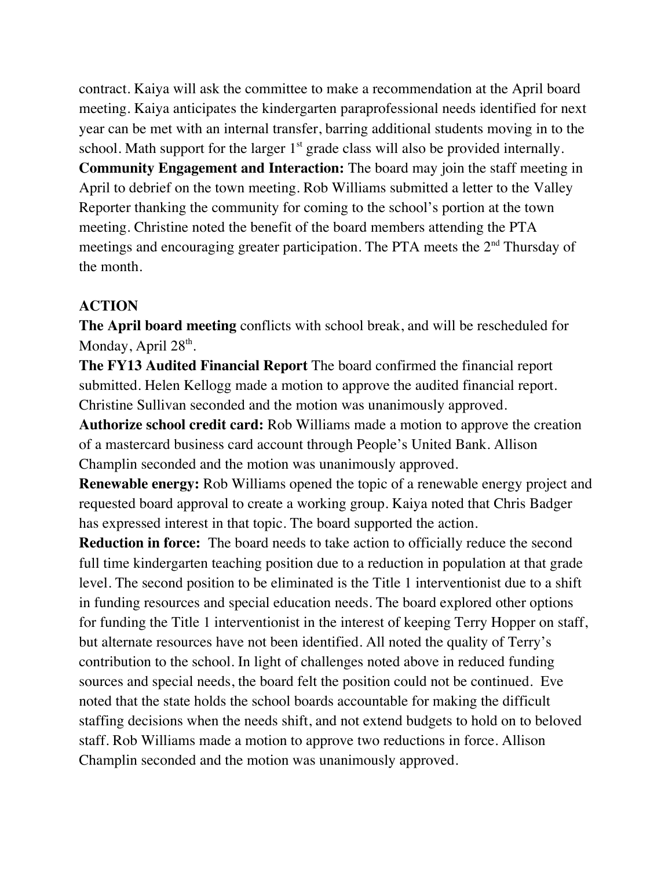contract. Kaiya will ask the committee to make a recommendation at the April board meeting. Kaiya anticipates the kindergarten paraprofessional needs identified for next year can be met with an internal transfer, barring additional students moving in to the school. Math support for the larger  $1<sup>st</sup>$  grade class will also be provided internally. **Community Engagement and Interaction:** The board may join the staff meeting in April to debrief on the town meeting. Rob Williams submitted a letter to the Valley Reporter thanking the community for coming to the school's portion at the town meeting. Christine noted the benefit of the board members attending the PTA meetings and encouraging greater participation. The PTA meets the 2<sup>nd</sup> Thursday of the month.

#### **ACTION**

**The April board meeting** conflicts with school break, and will be rescheduled for Monday, April  $28<sup>th</sup>$ .

**The FY13 Audited Financial Report** The board confirmed the financial report submitted. Helen Kellogg made a motion to approve the audited financial report. Christine Sullivan seconded and the motion was unanimously approved.

**Authorize school credit card:** Rob Williams made a motion to approve the creation of a mastercard business card account through People's United Bank. Allison Champlin seconded and the motion was unanimously approved.

**Renewable energy:** Rob Williams opened the topic of a renewable energy project and requested board approval to create a working group. Kaiya noted that Chris Badger has expressed interest in that topic. The board supported the action.

**Reduction in force:** The board needs to take action to officially reduce the second full time kindergarten teaching position due to a reduction in population at that grade level. The second position to be eliminated is the Title 1 interventionist due to a shift in funding resources and special education needs. The board explored other options for funding the Title 1 interventionist in the interest of keeping Terry Hopper on staff, but alternate resources have not been identified. All noted the quality of Terry's contribution to the school. In light of challenges noted above in reduced funding sources and special needs, the board felt the position could not be continued. Eve noted that the state holds the school boards accountable for making the difficult staffing decisions when the needs shift, and not extend budgets to hold on to beloved staff. Rob Williams made a motion to approve two reductions in force. Allison Champlin seconded and the motion was unanimously approved.